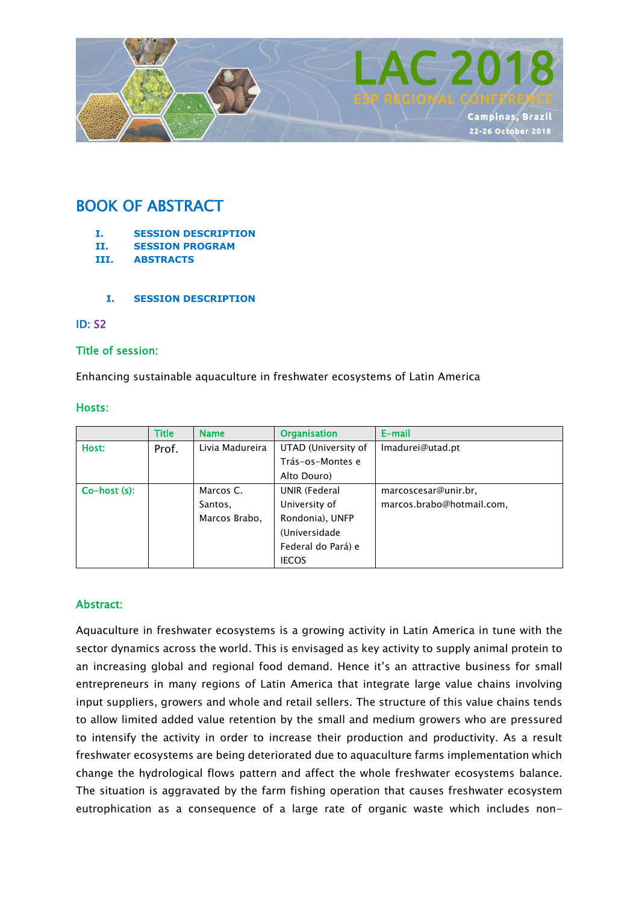

# BOOK OF ABSTRACT

- **I. SESSION DESCRIPTION**
- **II. SESSION PROGRAM**
- **III. ABSTRACTS**
	- **I. SESSION DESCRIPTION**

#### ID: S2

## Title of session:

Enhancing sustainable aquaculture in freshwater ecosystems of Latin America

#### Hosts:

|                    | Title | <b>Name</b>     | <b>Organisation</b> | E-mail                    |
|--------------------|-------|-----------------|---------------------|---------------------------|
| Host:              | Prof. | Livia Madureira | UTAD (University of | Imadurei@utad.pt          |
|                    |       |                 | Trás-os-Montes e    |                           |
|                    |       |                 | Alto Douro)         |                           |
| $Co$ -host $(s)$ : |       | Marcos C.       | UNIR (Federal       | marcoscesar@unir.br,      |
|                    |       | Santos,         | University of       | marcos.brabo@hotmail.com, |
|                    |       | Marcos Brabo,   | Rondonia), UNFP     |                           |
|                    |       |                 | (Universidade       |                           |
|                    |       |                 | Federal do Pará) e  |                           |
|                    |       |                 | <b>IECOS</b>        |                           |

## Abstract:

Aquaculture in freshwater ecosystems is a growing activity in Latin America in tune with the sector dynamics across the world. This is envisaged as key activity to supply animal protein to an increasing global and regional food demand. Hence it's an attractive business for small entrepreneurs in many regions of Latin America that integrate large value chains involving input suppliers, growers and whole and retail sellers. The structure of this value chains tends to allow limited added value retention by the small and medium growers who are pressured to intensify the activity in order to increase their production and productivity. As a result freshwater ecosystems are being deteriorated due to aquaculture farms implementation which change the hydrological flows pattern and affect the whole freshwater ecosystems balance. The situation is aggravated by the farm fishing operation that causes freshwater ecosystem eutrophication as a consequence of a large rate of organic waste which includes non-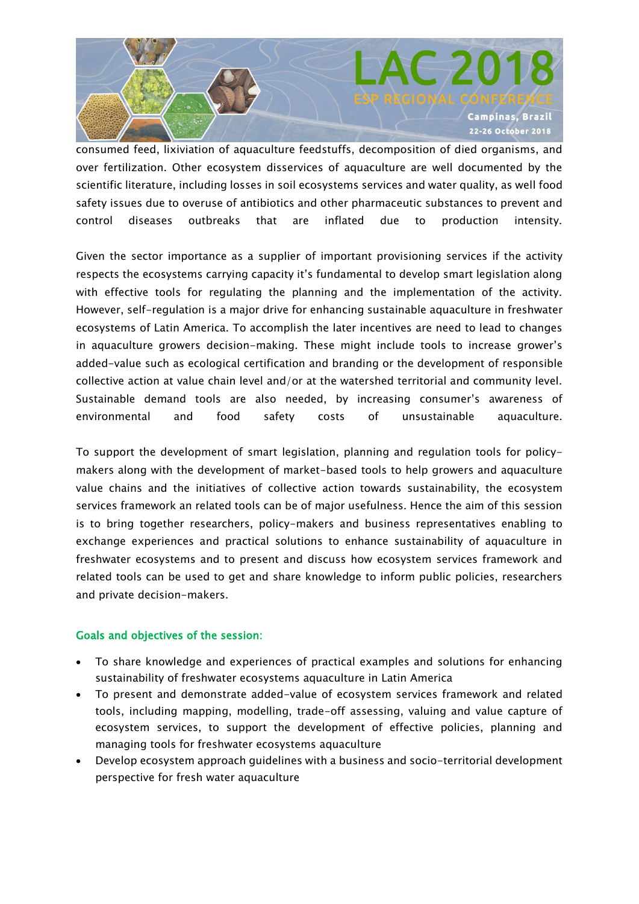

consumed feed, lixiviation of aquaculture feedstuffs, decomposition of died organisms, and over fertilization. Other ecosystem disservices of aquaculture are well documented by the scientific literature, including losses in soil ecosystems services and water quality, as well food safety issues due to overuse of antibiotics and other pharmaceutic substances to prevent and control diseases outbreaks that are inflated due to production intensity.

Given the sector importance as a supplier of important provisioning services if the activity respects the ecosystems carrying capacity it's fundamental to develop smart legislation along with effective tools for regulating the planning and the implementation of the activity. However, self-regulation is a major drive for enhancing sustainable aquaculture in freshwater ecosystems of Latin America. To accomplish the later incentives are need to lead to changes in aquaculture growers decision-making. These might include tools to increase grower's added-value such as ecological certification and branding or the development of responsible collective action at value chain level and/or at the watershed territorial and community level. Sustainable demand tools are also needed, by increasing consumer's awareness of environmental and food safety costs of unsustainable aquaculture.

To support the development of smart legislation, planning and regulation tools for policymakers along with the development of market-based tools to help growers and aquaculture value chains and the initiatives of collective action towards sustainability, the ecosystem services framework an related tools can be of major usefulness. Hence the aim of this session is to bring together researchers, policy-makers and business representatives enabling to exchange experiences and practical solutions to enhance sustainability of aquaculture in freshwater ecosystems and to present and discuss how ecosystem services framework and related tools can be used to get and share knowledge to inform public policies, researchers and private decision-makers.

#### Goals and objectives of the session:

- To share knowledge and experiences of practical examples and solutions for enhancing sustainability of freshwater ecosystems aquaculture in Latin America
- To present and demonstrate added-value of ecosystem services framework and related tools, including mapping, modelling, trade-off assessing, valuing and value capture of ecosystem services, to support the development of effective policies, planning and managing tools for freshwater ecosystems aquaculture
- Develop ecosystem approach guidelines with a business and socio-territorial development perspective for fresh water aquaculture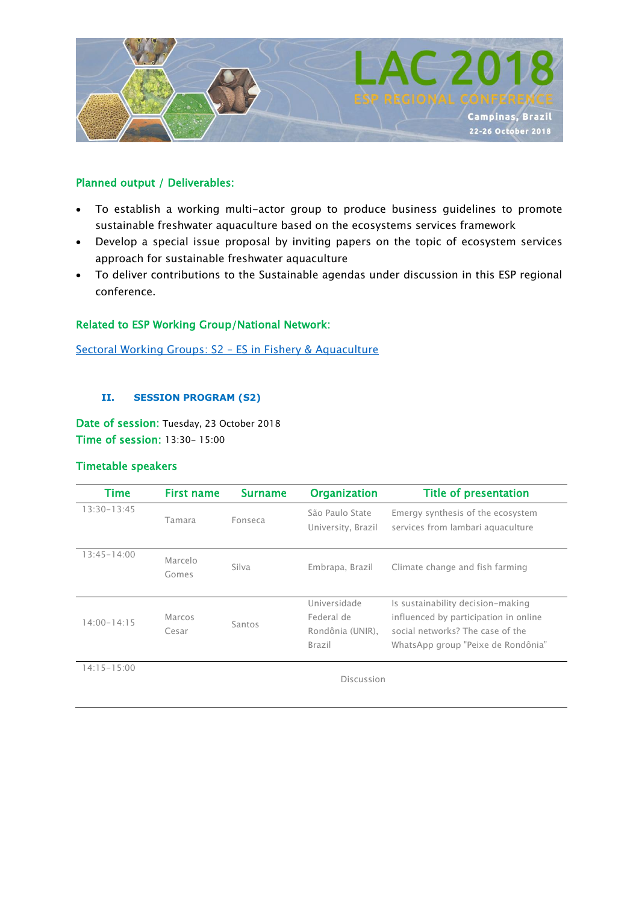

## Planned output / Deliverables:

- To establish a working multi-actor group to produce business guidelines to promote sustainable freshwater aquaculture based on the ecosystems services framework
- Develop a special issue proposal by inviting papers on the topic of ecosystem services approach for sustainable freshwater aquaculture
- To deliver contributions to the Sustainable agendas under discussion in this ESP regional conference.

# Related to ESP Working Group/National Network:

[Sectoral Working Groups: S2](https://www.es-partnership.org/community/workings-groups/sectoral-working-groups/swg-2-es-in-fishery-aquaculture/) – ES in Fishery & Aquaculture

#### **II. SESSION PROGRAM (S2)**

Date of session: Tuesday, 23 October 2018 Time of session: 13:30- 15:00

## Timetable speakers

| Time            | <b>First name</b> | <b>Surname</b> | <b>Organization</b>                                      | <b>Title of presentation</b>                                                                                                                         |  |
|-----------------|-------------------|----------------|----------------------------------------------------------|------------------------------------------------------------------------------------------------------------------------------------------------------|--|
| 13:30-13:45     | Tamara            | Fonseca        | São Paulo State<br>University, Brazil                    | Emergy synthesis of the ecosystem<br>services from lambari aquaculture                                                                               |  |
| $13:45 - 14:00$ | Marcelo<br>Gomes  | Silva          | Embrapa, Brazil                                          | Climate change and fish farming                                                                                                                      |  |
| $14.00 - 14.15$ | Marcos<br>Cesar   | Santos         | Universidade<br>Federal de<br>Rondônia (UNIR),<br>Brazil | Is sustainability decision-making<br>influenced by participation in online<br>social networks? The case of the<br>WhatsApp group "Peixe de Rondônia" |  |
| $14:15 - 15:00$ | Discussion        |                |                                                          |                                                                                                                                                      |  |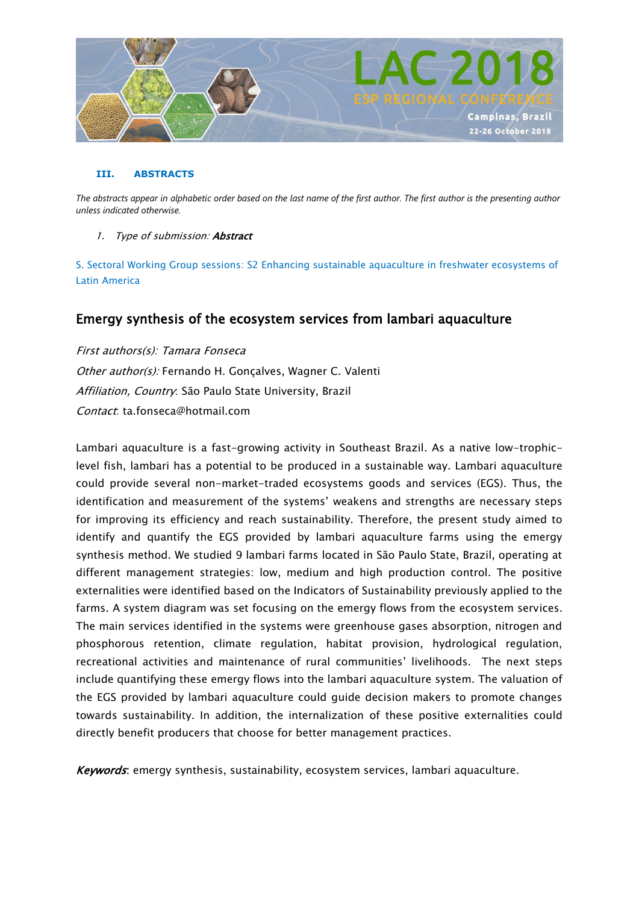

#### **III. ABSTRACTS**

*The abstracts appear in alphabetic order based on the last name of the first author. The first author is the presenting author unless indicated otherwise.*

#### 1. Type of submission: **Abstract**

S. Sectoral Working Group sessions: S2 Enhancing sustainable aquaculture in freshwater ecosystems of Latin America

# Emergy synthesis of the ecosystem services from lambari aquaculture

First authors(s): Tamara Fonseca Other author(s): Fernando H. Gonçalves, Wagner C. Valenti Affiliation, Country: São Paulo State University, Brazil Contact: ta.fonseca@hotmail.com

Lambari aquaculture is a fast-growing activity in Southeast Brazil. As a native low-trophiclevel fish, lambari has a potential to be produced in a sustainable way. Lambari aquaculture could provide several non-market-traded ecosystems goods and services (EGS). Thus, the identification and measurement of the systems' weakens and strengths are necessary steps for improving its efficiency and reach sustainability. Therefore, the present study aimed to identify and quantify the EGS provided by lambari aquaculture farms using the emergy synthesis method. We studied 9 lambari farms located in São Paulo State, Brazil, operating at different management strategies: low, medium and high production control. The positive externalities were identified based on the Indicators of Sustainability previously applied to the farms. A system diagram was set focusing on the emergy flows from the ecosystem services. The main services identified in the systems were greenhouse gases absorption, nitrogen and phosphorous retention, climate regulation, habitat provision, hydrological regulation, recreational activities and maintenance of rural communities' livelihoods. The next steps include quantifying these emergy flows into the lambari aquaculture system. The valuation of the EGS provided by lambari aquaculture could guide decision makers to promote changes towards sustainability. In addition, the internalization of these positive externalities could directly benefit producers that choose for better management practices.

Keywords: emergy synthesis, sustainability, ecosystem services, lambari aquaculture.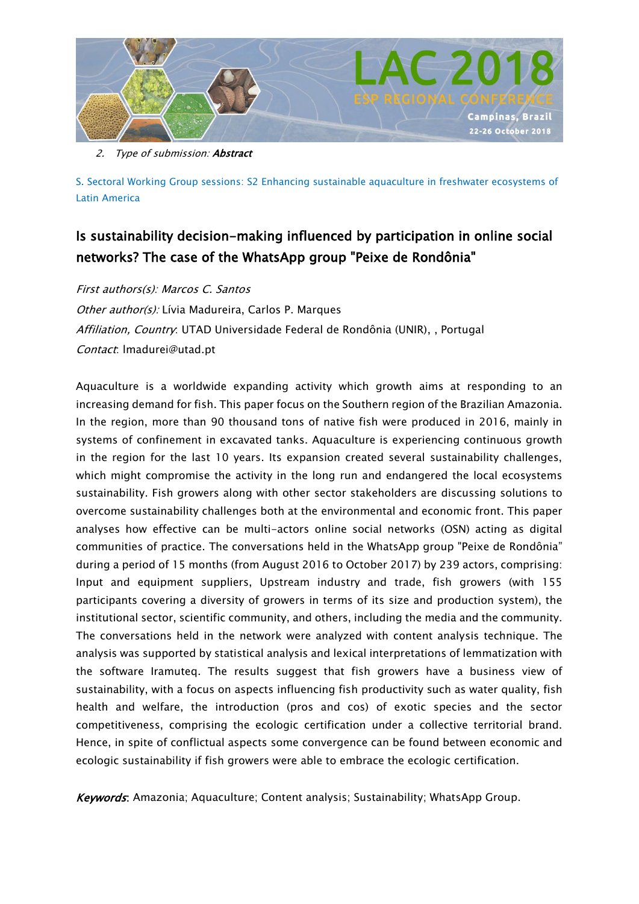

2. Type of submission: **Abstract** 

S. Sectoral Working Group sessions: S2 Enhancing sustainable aquaculture in freshwater ecosystems of Latin America

# Is sustainability decision-making influenced by participation in online social networks? The case of the WhatsApp group "Peixe de Rondônia"

First authors(s): Marcos C. Santos

Other author(s): Lívia Madureira, Carlos P. Marques Affiliation, Country: UTAD Universidade Federal de Rondônia (UNIR), , Portugal Contact: lmadurei@utad.pt

Aquaculture is a worldwide expanding activity which growth aims at responding to an increasing demand for fish. This paper focus on the Southern region of the Brazilian Amazonia. In the region, more than 90 thousand tons of native fish were produced in 2016, mainly in systems of confinement in excavated tanks. Aquaculture is experiencing continuous growth in the region for the last 10 years. Its expansion created several sustainability challenges, which might compromise the activity in the long run and endangered the local ecosystems sustainability. Fish growers along with other sector stakeholders are discussing solutions to overcome sustainability challenges both at the environmental and economic front. This paper analyses how effective can be multi-actors online social networks (OSN) acting as digital communities of practice. The conversations held in the WhatsApp group "Peixe de Rondônia" during a period of 15 months (from August 2016 to October 2017) by 239 actors, comprising: Input and equipment suppliers, Upstream industry and trade, fish growers (with 155 participants covering a diversity of growers in terms of its size and production system), the institutional sector, scientific community, and others, including the media and the community. The conversations held in the network were analyzed with content analysis technique. The analysis was supported by statistical analysis and lexical interpretations of lemmatization with the software Iramuteq. The results suggest that fish growers have a business view of sustainability, with a focus on aspects influencing fish productivity such as water quality, fish health and welfare, the introduction (pros and cos) of exotic species and the sector competitiveness, comprising the ecologic certification under a collective territorial brand. Hence, in spite of conflictual aspects some convergence can be found between economic and ecologic sustainability if fish growers were able to embrace the ecologic certification.

Keywords: Amazonia; Aquaculture; Content analysis; Sustainability; WhatsApp Group.